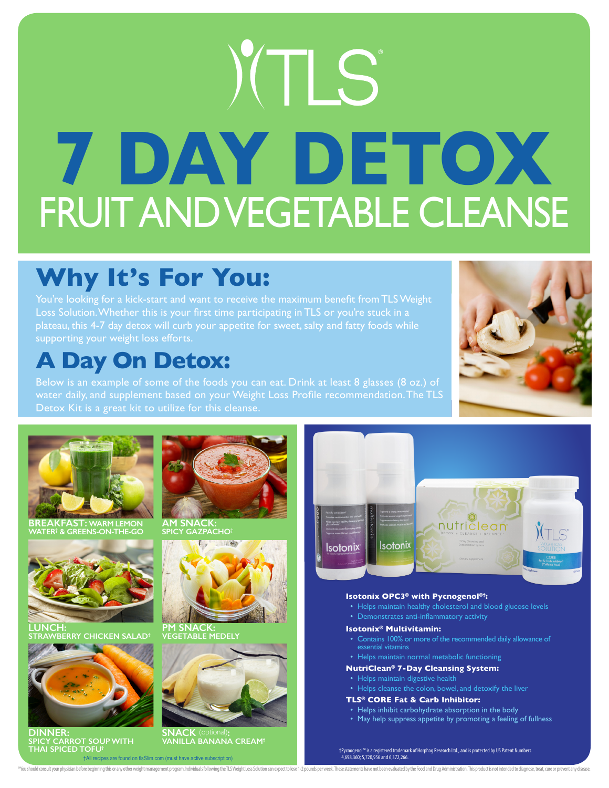# XTLS **7 DAY DETOX** FRUIT AND VEGETABLE CLEANSE

## **Why It's For You:**

You're looking for a kick-start and want to receive the maximum benefit from TLS Weight Loss Solution. Whether this is your first time participating in TLS or you're stuck in a plateau, this 4-7 day detox will curb your appetite for sweet, salty and fatty foods while supporting your weight loss efforts.

### **A Day On Detox:**

Below is an example of some of the foods you can eat. Drink at least 8 glasses (8 oz.) of water daily, and supplement based on your Weight Loss Profile recommendation. The TLS



**BREAKFAST: WARM LEMON WATER† & GREENS-ON-THE-GO**



**LUNCH: ERRY CHICKEN SALAD** 



**DINNER: SPICY CARROT SOUP WITH THAI SPICED TOFU†**



**AM SNACK: SPICY GAZPACHO†**



**PM SNACK: VEGETABLE MEDELY**



**SNACK** (optional)**: VANILLA BANANA CREAM†**

†All recipes are found on tlsSlim.com (must have active subscription)

"You should consult your physican before beginning this or any other weight management program.Individuals following the TLS Weight Loss Solution can expect to lose 1-2 pounds per week. These statements have not been evalu



### **Isotonix OPC3® with Pycnogenol®†:**

- Helps maintain healthy cholesterol and blood glucose levels
- Demonstrates anti-inflammatory activity

#### **Isotonix® Multivitamin:**

• Contains 100% or more of the recommended daily allowance of

### • Helps maintain normal metabolic functioning

### **NutriClean® 7-Day Cleansing System:**

- Helps maintain digestive health
- 

### **TLS® CORE Fat & Carb Inhibitor:**

- Helps inhibit carbohydrate absorption in the body
- May help suppress appetite by promoting a feeling of fullness

†Pycnogenol™ is a registered trademark of Horphag Research Ltd., and is protected by US Patent Numbers 4,698,360; 5,720,956 and 6,372,266.